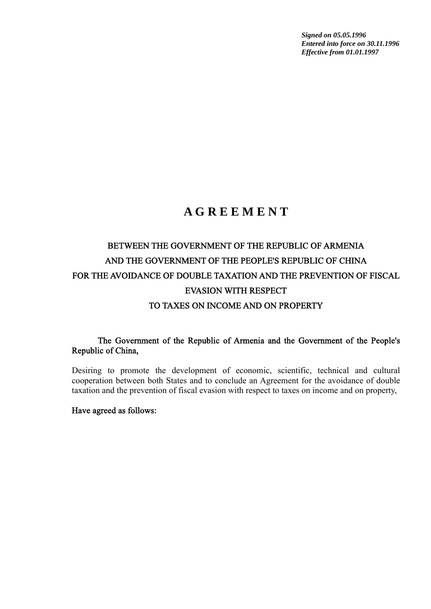*Signed on 05.05.1996 Entered into force on 30.11.1996 Effective from 01.01.1997* 

# **A G R E E M E N T**

# BETWEEN THE GOVERNMENT OF THE REPUBLIC OF ARMENIA AND THE GOVERNMENT OF THE PEOPLE'S REPUBLIC OF CHINA FOR THE AVOIDANCE OF DOUBLE TAXATION AND THE PREVENTION OF FISCAL EVASION WITH RESPECT TO TAXES ON INCOME AND ON PROPERTY

#### The Government of the Republic of Armenia and the Government of the People's Republic of China,

Desiring to promote the development of economic, scientific, technical and cultural cooperation between both States and to conclude an Agreement for the avoidance of double taxation and the prevention of fiscal evasion with respect to taxes on income and on property,

Have agreed as follows: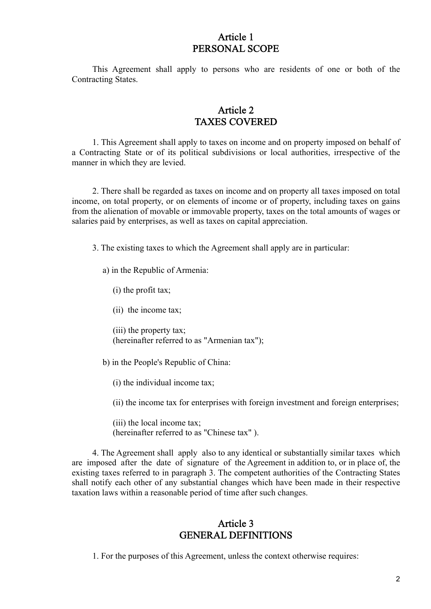#### Article 1 PERSONAL SCOPE

This Agreement shall apply to persons who are residents of one or both of the Contracting States.

# Article 2 TAXES COVERED

1. This Agreement shall apply to taxes on income and on property imposed on behalf of a Contracting State or of its political subdivisions or local authorities, irrespective of the manner in which they are levied.

2. There shall be regarded as taxes on income and on property all taxes imposed on total income, on total property, or on elements of income or of property, including taxes on gains from the alienation of movable or immovable property, taxes on the total amounts of wages or salaries paid by enterprises, as well as taxes on capital appreciation.

3. The existing taxes to which the Agreement shall apply are in particular:

a) in the Republic of Armenia:

(i) the profit tax;

(ii) the income tax;

(iii) the property tax; (hereinafter referred to as "Armenian tax");

b) in the People's Republic of China:

(i) the individual income tax;

(ii) the income tax for enterprises with foreign investment and foreign enterprises;

(iii) the local income tax; (hereinafter referred to as "Chinese tax" ).

4. The Agreement shall apply also to any identical or substantially similar taxes which are imposed after the date of signature of the Agreement in addition to, or in place of, the existing taxes referred to in paragraph 3. The competent authorities of the Contracting States shall notify each other of any substantial changes which have been made in their respective taxation laws within a reasonable period of time after such changes.

#### Article 3 GENERAL DEFINITIONS

1. For the purposes of this Agreement, unless the context otherwise requires: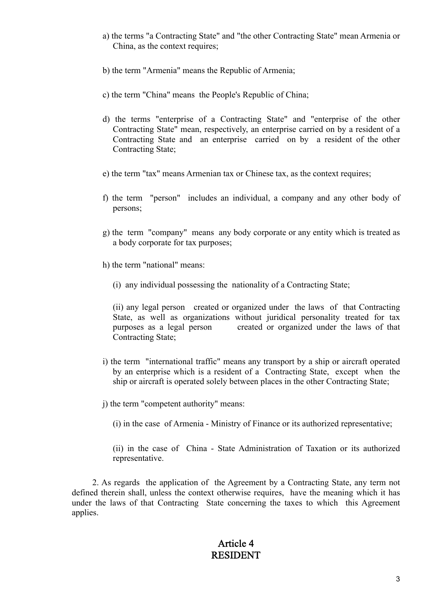- a) the terms "a Contracting State" and "the other Contracting State" mean Armenia or China, as the context requires;
- b) the term "Armenia" means the Republic of Armenia;
- c) the term "China" means the People's Republic of China;
- d) the terms "enterprise of a Contracting State" and "enterprise of the other Contracting State" mean, respectively, an enterprise carried on by a resident of a Contracting State and an enterprise carried on by a resident of the other Contracting State;
- e) the term "tax" means Armenian tax or Chinese tax, as the context requires;
- f) the term "person" includes an individual, a company and any other body of persons;
- g) the term "company" means any body corporate or any entity which is treated as a body corporate for tax purposes;
- h) the term "national" means:
	- (i) any individual possessing the nationality of a Contracting State;

(ii) any legal person created or organized under the laws of that Contracting State, as well as organizations without juridical personality treated for tax purposes as a legal person created or organized under the laws of that Contracting State;

- i) the term "international traffic" means any transport by a ship or aircraft operated by an enterprise which is a resident of a Contracting State, except when the ship or aircraft is operated solely between places in the other Contracting State;
- j) the term "competent authority" means:
	- (i) in the case of Armenia Ministry of Finance or its authorized representative;
	- (ii) in the case of China State Administration of Taxation or its authorized representative.

2. As regards the application of the Agreement by a Contracting State, any term not defined therein shall, unless the context otherwise requires, have the meaning which it has under the laws of that Contracting State concerning the taxes to which this Agreement applies.

# Article 4 RESIDENT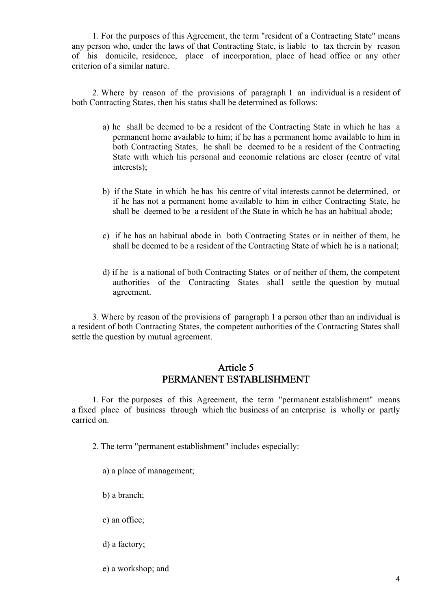1. For the purposes of this Agreement, the term "resident of a Contracting State" means any person who, under the laws of that Contracting State, is liable to tax therein by reason of his domicile, residence, place of incorporation, place of head office or any other criterion of a similar nature.

2. Where by reason of the provisions of paragraph 1 an individual is a resident of both Contracting States, then his status shall be determined as follows:

- a) he shall be deemed to be a resident of the Contracting State in which he has a permanent home available to him; if he has a permanent home available to him in both Contracting States, he shall be deemed to be a resident of the Contracting State with which his personal and economic relations are closer (centre of vital interests);
- b) if the State in which he has his centre of vital interests cannot be determined, or if he has not a permanent home available to him in either Contracting State, he shall be deemed to be a resident of the State in which he has an habitual abode;
- c) if he has an habitual abode in both Contracting States or in neither of them, he shall be deemed to be a resident of the Contracting State of which he is a national;
- d) if he is a national of both Contracting States or of neither of them, the competent authorities of the Contracting States shall settle the question by mutual agreement.

3. Where by reason of the provisions of paragraph 1 a person other than an individual is a resident of both Contracting States, the competent authorities of the Contracting States shall settle the question by mutual agreement.

# Article 5 PERMANENT ESTABLISHMENT

1. For the purposes of this Agreement, the term "permanent establishment" means a fixed place of business through which the business of an enterprise is wholly or partly carried on.

2. The term "permanent establishment" includes especially:

a) a place of management;

b) a branch;

c) an office;

d) a factory;

e) a workshop; and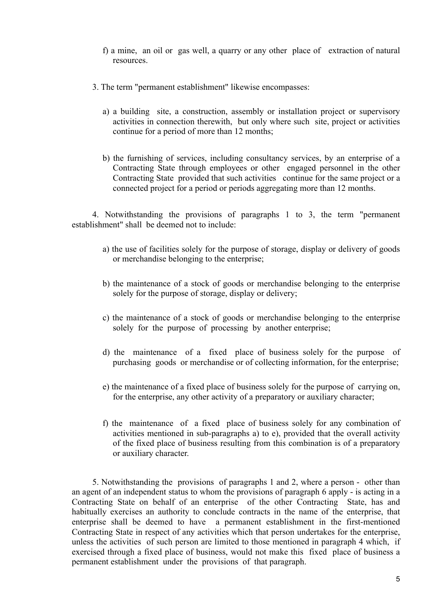- f) a mine, an oil or gas well, a quarry or any other place of extraction of natural resources.
- 3. The term "permanent establishment" likewise encompasses:
	- a) a building site, a construction, assembly or installation project or supervisory activities in connection therewith, but only where such site, project or activities continue for a period of more than 12 months;
	- b) the furnishing of services, including consultancy services, by an enterprise of a Contracting State through employees or other engaged personnel in the other Contracting State provided that such activities continue for the same project or a connected project for a period or periods aggregating more than 12 months.

4. Notwithstanding the provisions of paragraphs 1 to 3, the term "permanent establishment" shall be deemed not to include:

- a) the use of facilities solely for the purpose of storage, display or delivery of goods or merchandise belonging to the enterprise;
- b) the maintenance of a stock of goods or merchandise belonging to the enterprise solely for the purpose of storage, display or delivery;
- c) the maintenance of a stock of goods or merchandise belonging to the enterprise solely for the purpose of processing by another enterprise;
- d) the maintenance of a fixed place of business solely for the purpose of purchasing goods or merchandise or of collecting information, for the enterprise;
- e) the maintenance of a fixed place of business solely for the purpose of carrying on, for the enterprise, any other activity of a preparatory or auxiliary character;
- f) the maintenance of a fixed place of business solely for any combination of activities mentioned in sub-paragraphs a) to e), provided that the overall activity of the fixed place of business resulting from this combination is of a preparatory or auxiliary character.

5. Notwithstanding the provisions of paragraphs 1 and 2, where a person - other than an agent of an independent status to whom the provisions of paragraph 6 apply - is acting in a Contracting State on behalf of an enterprise of the other Contracting State, has and habitually exercises an authority to conclude contracts in the name of the enterprise, that enterprise shall be deemed to have a permanent establishment in the first-mentioned Contracting State in respect of any activities which that person undertakes for the enterprise, unless the activities of such person are limited to those mentioned in paragraph 4 which, if exercised through a fixed place of business, would not make this fixed place of business a permanent establishment under the provisions of that paragraph.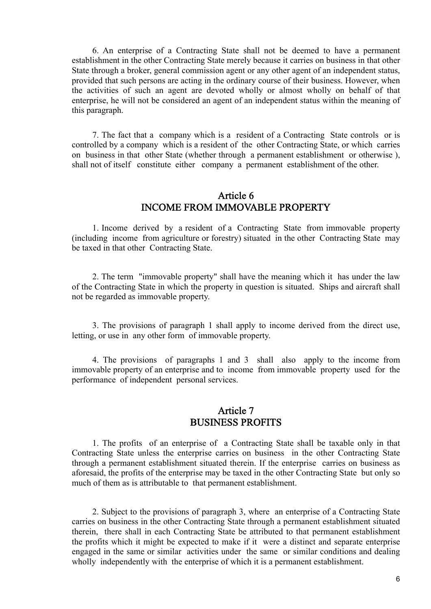6. An enterprise of a Contracting State shall not be deemed to have a permanent establishment in the other Contracting State merely because it carries on business in that other State through a broker, general commission agent or any other agent of an independent status, provided that such persons are acting in the ordinary course of their business. However, when the activities of such an agent are devoted wholly or almost wholly on behalf of that enterprise, he will not be considered an agent of an independent status within the meaning of this paragraph.

7. The fact that a company which is a resident of a Contracting State controls or is controlled by a company which is a resident of the other Contracting State, or which carries on business in that other State (whether through a permanent establishment or otherwise ), shall not of itself constitute either company a permanent establishment of the other.

#### Article 6 INCOME FROM IMMOVABLE PROPERTY

1. Income derived by a resident of a Contracting State from immovable property (including income from agriculture or forestry) situated in the other Contracting State may be taxed in that other Contracting State.

2. The term "immovable property" shall have the meaning which it has under the law of the Contracting State in which the property in question is situated. Ships and aircraft shall not be regarded as immovable property.

3. The provisions of paragraph 1 shall apply to income derived from the direct use, letting, or use in any other form of immovable property.

4. The provisions of paragraphs 1 and 3 shall also apply to the income from immovable property of an enterprise and to income from immovable property used for the performance of independent personal services.

# Article 7 BUSINESS PROFITS

1. The profits of an enterprise of a Contracting State shall be taxable only in that Contracting State unless the enterprise carries on business in the other Contracting State through a permanent establishment situated therein. If the enterprise carries on business as aforesaid, the profits of the enterprise may be taxed in the other Contracting State but only so much of them as is attributable to that permanent establishment.

2. Subject to the provisions of paragraph 3, where an enterprise of a Contracting State carries on business in the other Contracting State through a permanent establishment situated therein, there shall in each Contracting State be attributed to that permanent establishment the profits which it might be expected to make if it were a distinct and separate enterprise engaged in the same or similar activities under the same or similar conditions and dealing wholly independently with the enterprise of which it is a permanent establishment.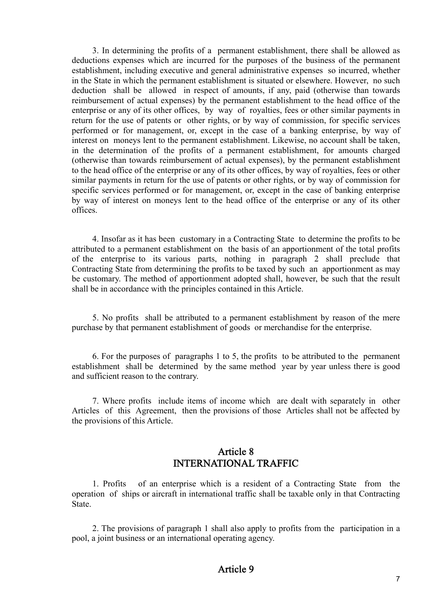3. In determining the profits of a permanent establishment, there shall be allowed as deductions expenses which are incurred for the purposes of the business of the permanent establishment, including executive and general administrative expenses so incurred, whether in the State in which the permanent establishment is situated or elsewhere. However, no such deduction shall be allowed in respect of amounts, if any, paid (otherwise than towards reimbursement of actual expenses) by the permanent establishment to the head office of the enterprise or any of its other offices, by way of royalties, fees or other similar payments in return for the use of patents or other rights, or by way of commission, for specific services performed or for management, or, except in the case of a banking enterprise, by way of interest on moneys lent to the permanent establishment. Likewise, no account shall be taken, in the determination of the profits of a permanent establishment, for amounts charged (otherwise than towards reimbursement of actual expenses), by the permanent establishment to the head office of the enterprise or any of its other offices, by way of royalties, fees or other similar payments in return for the use of patents or other rights, or by way of commission for specific services performed or for management, or, except in the case of banking enterprise by way of interest on moneys lent to the head office of the enterprise or any of its other offices.

4. Insofar as it has been customary in a Contracting State to determine the profits to be attributed to a permanent establishment on the basis of an apportionment of the total profits of the enterprise to its various parts, nothing in paragraph 2 shall preclude that Contracting State from determining the profits to be taxed by such an apportionment as may be customary. The method of apportionment adopted shall, however, be such that the result shall be in accordance with the principles contained in this Article.

5. No profits shall be attributed to a permanent establishment by reason of the mere purchase by that permanent establishment of goods or merchandise for the enterprise.

6. For the purposes of paragraphs 1 to 5, the profits to be attributed to the permanent establishment shall be determined by the same method year by year unless there is good and sufficient reason to the contrary.

7. Where profits include items of income which are dealt with separately in other Articles of this Agreement, then the provisions of those Articles shall not be affected by the provisions of this Article.

# Article 8 INTERNATIONAL TRAFFIC

1. Profits of an enterprise which is a resident of a Contracting State from the operation of ships or aircraft in international traffic shall be taxable only in that Contracting State.

2. The provisions of paragraph 1 shall also apply to profits from the participation in a pool, a joint business or an international operating agency.

#### Article 9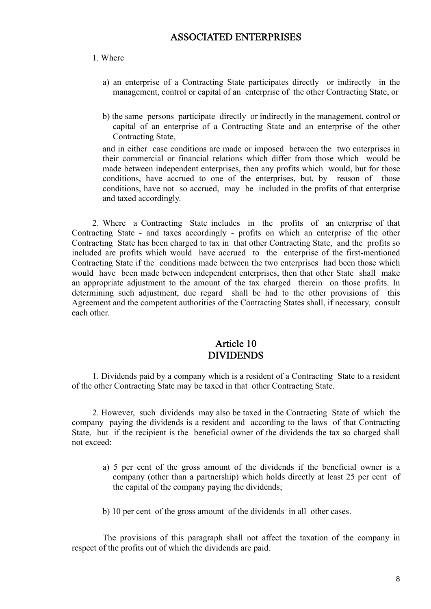#### ASSOCIATED ENTERPRISES

#### 1. Where

- a) an enterprise of a Contracting State participates directly or indirectly in the management, control or capital of an enterprise of the other Contracting State, or
- b) the same persons participate directly or indirectly in the management, control or capital of an enterprise of a Contracting State and an enterprise of the other Contracting State,

and in either case conditions are made or imposed between the two enterprises in their commercial or financial relations which differ from those which would be made between independent enterprises, then any profits which would, but for those conditions, have accrued to one of the enterprises, but, by reason of those conditions, have not so accrued, may be included in the profits of that enterprise and taxed accordingly.

2. Where a Contracting State includes in the profits of an enterprise of that Contracting State - and taxes accordingly - profits on which an enterprise of the other Contracting State has been charged to tax in that other Contracting State, and the profits so included are profits which would have accrued to the enterprise of the first-mentioned Contracting State if the conditions made between the two enterprises had been those which would have been made between independent enterprises, then that other State shall make an appropriate adjustment to the amount of the tax charged therein on those profits. In determining such adjustment, due regard shall be had to the other provisions of this Agreement and the competent authorities of the Contracting States shall, if necessary, consult each other.

#### Article 10 DIVIDENDS

1. Dividends paid by a company which is a resident of a Contracting State to a resident of the other Contracting State may be taxed in that other Contracting State.

2. However, such dividends may also be taxed in the Contracting State of which the company paying the dividends is a resident and according to the laws of that Contracting State, but if the recipient is the beneficial owner of the dividends the tax so charged shall not exceed:

- a) 5 per cent of the gross amount of the dividends if the beneficial owner is a company (other than a partnership) which holds directly at least 25 per cent of the capital of the company paying the dividends;
- b) 10 per cent of the gross amount of the dividends in all other cases.

The provisions of this paragraph shall not affect the taxation of the company in respect of the profits out of which the dividends are paid.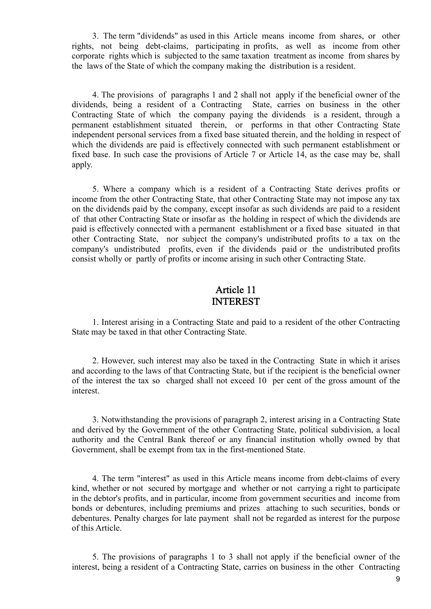3. The term "dividends" as used in this Article means income from shares, or other rights, not being debt-claims, participating in profits, as well as income from other corporate rights which is subjected to the same taxation treatment as income from shares by the laws of the State of which the company making the distribution is a resident.

4. The provisions of paragraphs 1 and 2 shall not apply if the beneficial owner of the dividends, being a resident of a Contracting State, carries on business in the other Contracting State of which the company paying the dividends is a resident, through a permanent establishment situated therein, or performs in that other Contracting State independent personal services from a fixed base situated therein, and the holding in respect of which the dividends are paid is effectively connected with such permanent establishment or fixed base. In such case the provisions of Article 7 or Article 14, as the case may be, shall apply.

5. Where a company which is a resident of a Contracting State derives profits or income from the other Contracting State, that other Contracting State may not impose any tax on the dividends paid by the company, except insofar as such dividends are paid to a resident of that other Contracting State or insofar as the holding in respect of which the dividends are paid is effectively connected with a permanent establishment or a fixed base situated in that other Contracting State, nor subject the company's undistributed profits to a tax on the company's undistributed profits, even if the dividends paid or the undistributed profits consist wholly or partly of profits or income arising in such other Contracting State.

#### Article 11 INTEREST

1. Interest arising in a Contracting State and paid to a resident of the other Contracting State may be taxed in that other Contracting State.

2. However, such interest may also be taxed in the Contracting State in which it arises and according to the laws of that Contracting State, but if the recipient is the beneficial owner of the interest the tax so charged shall not exceed 10 per cent of the gross amount of the interest.

3. Notwithstanding the provisions of paragraph 2, interest arising in a Contracting State and derived by the Government of the other Contracting State, political subdivision, a local authority and the Central Bank thereof or any financial institution wholly owned by that Government, shall be exempt from tax in the first-mentioned State.

4. The term "interest" as used in this Article means income from debt-claims of every kind, whether or not secured by mortgage and whether or not carrying a right to participate in the debtor's profits, and in particular, income from government securities and income from bonds or debentures, including premiums and prizes attaching to such securities, bonds or debentures. Penalty charges for late payment shall not be regarded as interest for the purpose of this Article.

5. The provisions of paragraphs 1 to 3 shall not apply if the beneficial owner of the interest, being a resident of a Contracting State, carries on business in the other Contracting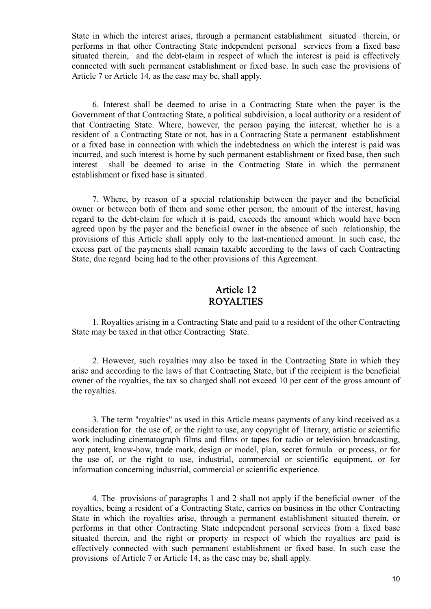State in which the interest arises, through a permanent establishment situated therein, or performs in that other Contracting State independent personal services from a fixed base situated therein, and the debt-claim in respect of which the interest is paid is effectively connected with such permanent establishment or fixed base. In such case the provisions of Article 7 or Article 14, as the case may be, shall apply.

6. Interest shall be deemed to arise in a Contracting State when the payer is the Government of that Contracting State, a political subdivision, a local authority or a resident of that Contracting State. Where, however, the person paying the interest, whether he is a resident of a Contracting State or not, has in a Contracting State a permanent establishment or a fixed base in connection with which the indebtedness on which the interest is paid was incurred, and such interest is borne by such permanent establishment or fixed base, then such interest shall be deemed to arise in the Contracting State in which the permanent establishment or fixed base is situated.

7. Where, by reason of a special relationship between the payer and the beneficial owner or between both of them and some other person, the amount of the interest, having regard to the debt-claim for which it is paid, exceeds the amount which would have been agreed upon by the payer and the beneficial owner in the absence of such relationship, the provisions of this Article shall apply only to the last-mentioned amount. In such case, the excess part of the payments shall remain taxable according to the laws of each Contracting State, due regard being had to the other provisions of this Agreement.

# Article 12 ROYALTIES

1. Royalties arising in a Contracting State and paid to a resident of the other Contracting State may be taxed in that other Contracting State.

2. However, such royalties may also be taxed in the Contracting State in which they arise and according to the laws of that Contracting State, but if the recipient is the beneficial owner of the royalties, the tax so charged shall not exceed 10 per cent of the gross amount of the royalties.

3. The term "royalties" as used in this Article means payments of any kind received as a consideration for the use of, or the right to use, any copyright of literary, artistic or scientific work including cinematograph films and films or tapes for radio or television broadcasting, any patent, know-how, trade mark, design or model, plan, secret formula or process, or for the use of, or the right to use, industrial, commercial or scientific equipment, or for information concerning industrial, commercial or scientific experience.

4. The provisions of paragraphs 1 and 2 shall not apply if the beneficial owner of the royalties, being a resident of a Contracting State, carries on business in the other Contracting State in which the royalties arise, through a permanent establishment situated therein, or performs in that other Contracting State independent personal services from a fixed base situated therein, and the right or property in respect of which the royalties are paid is effectively connected with such permanent establishment or fixed base. In such case the provisions of Article 7 or Article 14, as the case may be, shall apply.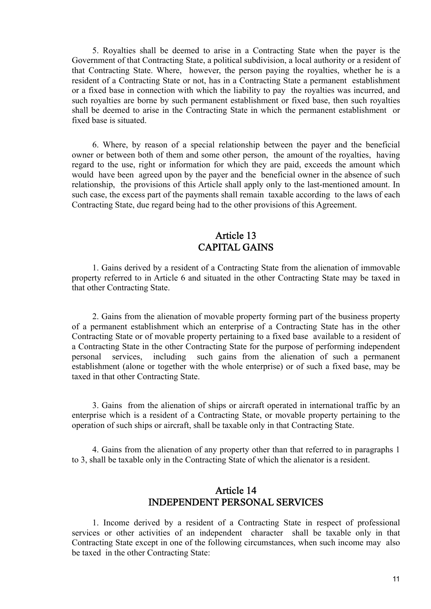5. Royalties shall be deemed to arise in a Contracting State when the payer is the Government of that Contracting State, a political subdivision, a local authority or a resident of that Contracting State. Where, however, the person paying the royalties, whether he is a resident of a Contracting State or not, has in a Contracting State a permanent establishment or a fixed base in connection with which the liability to pay the royalties was incurred, and such royalties are borne by such permanent establishment or fixed base, then such royalties shall be deemed to arise in the Contracting State in which the permanent establishment or fixed base is situated.

6. Where, by reason of a special relationship between the payer and the beneficial owner or between both of them and some other person, the amount of the royalties, having regard to the use, right or information for which they are paid, exceeds the amount which would have been agreed upon by the payer and the beneficial owner in the absence of such relationship, the provisions of this Article shall apply only to the last-mentioned amount. In such case, the excess part of the payments shall remain taxable according to the laws of each Contracting State, due regard being had to the other provisions of this Agreement.

# Article 13 CAPITAL GAINS

1. Gains derived by a resident of a Contracting State from the alienation of immovable property referred to in Article 6 and situated in the other Contracting State may be taxed in that other Contracting State.

2. Gains from the alienation of movable property forming part of the business property of a permanent establishment which an enterprise of a Contracting State has in the other Contracting State or of movable property pertaining to a fixed base available to a resident of a Contracting State in the other Contracting State for the purpose of performing independent personal services, including such gains from the alienation of such a permanent establishment (alone or together with the whole enterprise) or of such a fixed base, may be taxed in that other Contracting State.

3. Gains from the alienation of ships or aircraft operated in international traffic by an enterprise which is a resident of a Contracting State, or movable property pertaining to the operation of such ships or aircraft, shall be taxable only in that Contracting State.

4. Gains from the alienation of any property other than that referred to in paragraphs 1 to 3, shall be taxable only in the Contracting State of which the alienator is a resident.

#### Article 14 INDEPENDENT PERSONAL SERVICES

1. Income derived by a resident of a Contracting State in respect of professional services or other activities of an independent character shall be taxable only in that Contracting State except in one of the following circumstances, when such income may also be taxed in the other Contracting State: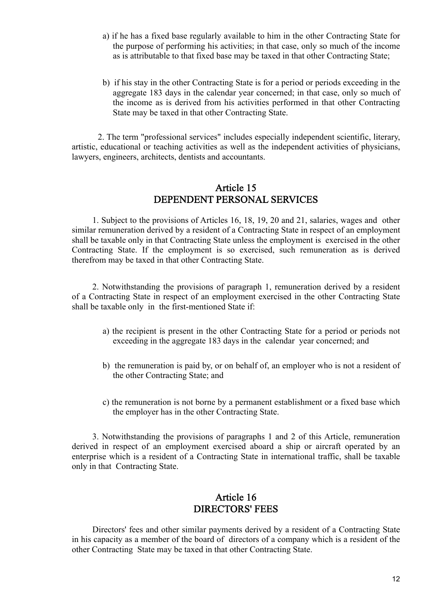- a) if he has a fixed base regularly available to him in the other Contracting State for the purpose of performing his activities; in that case, only so much of the income as is attributable to that fixed base may be taxed in that other Contracting State;
- b) if his stay in the other Contracting State is for a period or periods exceeding in the aggregate 183 days in the calendar year concerned; in that case, only so much of the income as is derived from his activities performed in that other Contracting State may be taxed in that other Contracting State.

2. The term "professional services" includes especially independent scientific, literary, artistic, educational or teaching activities as well as the independent activities of physicians, lawyers, engineers, architects, dentists and accountants.

# Article 15 DEPENDENT PERSONAL SERVICES

1. Subject to the provisions of Articles 16, 18, 19, 20 and 21, salaries, wages and other similar remuneration derived by a resident of a Contracting State in respect of an employment shall be taxable only in that Contracting State unless the employment is exercised in the other Contracting State. If the employment is so exercised, such remuneration as is derived therefrom may be taxed in that other Contracting State.

2. Notwithstanding the provisions of paragraph 1, remuneration derived by a resident of a Contracting State in respect of an employment exercised in the other Contracting State shall be taxable only in the first-mentioned State if:

- a) the recipient is present in the other Contracting State for a period or periods not exceeding in the aggregate 183 days in the calendar year concerned; and
- b) the remuneration is paid by, or on behalf of, an employer who is not a resident of the other Contracting State; and
- c) the remuneration is not borne by a permanent establishment or a fixed base which the employer has in the other Contracting State.

3. Notwithstanding the provisions of paragraphs 1 and 2 of this Article, remuneration derived in respect of an employment exercised aboard a ship or aircraft operated by an enterprise which is a resident of a Contracting State in international traffic, shall be taxable only in that Contracting State.

# Article 16 DIRECTORS' FEES

Directors' fees and other similar payments derived by a resident of a Contracting State in his capacity as a member of the board of directors of a company which is a resident of the other Contracting State may be taxed in that other Contracting State.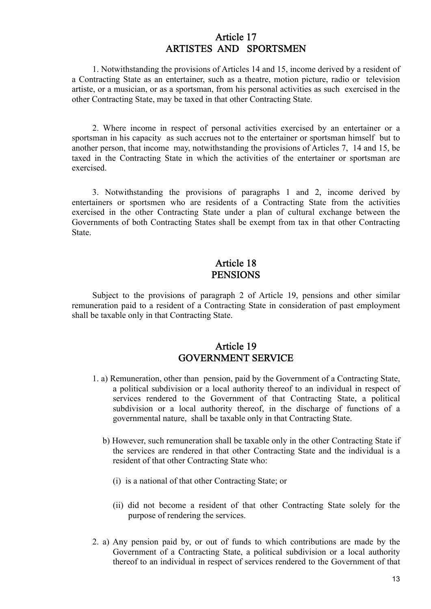# Article 17 ARTISTES AND SPORTSMEN

1. Notwithstanding the provisions of Articles 14 and 15, income derived by a resident of a Contracting State as an entertainer, such as a theatre, motion picture, radio or television artiste, or a musician, or as a sportsman, from his personal activities as such exercised in the other Contracting State, may be taxed in that other Contracting State.

2. Where income in respect of personal activities exercised by an entertainer or a sportsman in his capacity as such accrues not to the entertainer or sportsman himself but to another person, that income may, notwithstanding the provisions of Articles 7, 14 and 15, be taxed in the Contracting State in which the activities of the entertainer or sportsman are exercised.

3. Notwithstanding the provisions of paragraphs 1 and 2, income derived by entertainers or sportsmen who are residents of a Contracting State from the activities exercised in the other Contracting State under a plan of cultural exchange between the Governments of both Contracting States shall be exempt from tax in that other Contracting State.

# Article 18 **PENSIONS**

Subject to the provisions of paragraph 2 of Article 19, pensions and other similar remuneration paid to a resident of a Contracting State in consideration of past employment shall be taxable only in that Contracting State.

# Article 19 GOVERNMENT SERVICE

- 1. a) Remuneration, other than pension, paid by the Government of a Contracting State, a political subdivision or a local authority thereof to an individual in respect of services rendered to the Government of that Contracting State, a political subdivision or a local authority thereof, in the discharge of functions of a governmental nature, shall be taxable only in that Contracting State.
	- b) However, such remuneration shall be taxable only in the other Contracting State if the services are rendered in that other Contracting State and the individual is a resident of that other Contracting State who:
		- (i) is a national of that other Contracting State; or
		- (ii) did not become a resident of that other Contracting State solely for the purpose of rendering the services.
- 2. a) Any pension paid by, or out of funds to which contributions are made by the Government of a Contracting State, a political subdivision or a local authority thereof to an individual in respect of services rendered to the Government of that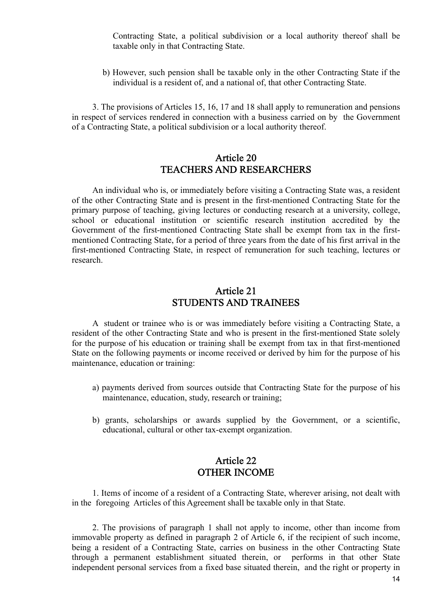Contracting State, a political subdivision or a local authority thereof shall be taxable only in that Contracting State.

b) However, such pension shall be taxable only in the other Contracting State if the individual is a resident of, and a national of, that other Contracting State.

3. The provisions of Articles 15, 16, 17 and 18 shall apply to remuneration and pensions in respect of services rendered in connection with a business carried on by the Government of a Contracting State, a political subdivision or a local authority thereof.

# Article 20 TEACHERS AND RESEARCHERS

An individual who is, or immediately before visiting a Contracting State was, a resident of the other Contracting State and is present in the first-mentioned Contracting State for the primary purpose of teaching, giving lectures or conducting research at a university, college, school or educational institution or scientific research institution accredited by the Government of the first-mentioned Contracting State shall be exempt from tax in the firstmentioned Contracting State, for a period of three years from the date of his first arrival in the first-mentioned Contracting State, in respect of remuneration for such teaching, lectures or research.

# Article 21 STUDENTS AND TRAINEES

A student or trainee who is or was immediately before visiting a Contracting State, a resident of the other Contracting State and who is present in the first-mentioned State solely for the purpose of his education or training shall be exempt from tax in that first-mentioned State on the following payments or income received or derived by him for the purpose of his maintenance, education or training:

- a) payments derived from sources outside that Contracting State for the purpose of his maintenance, education, study, research or training;
- b) grants, scholarships or awards supplied by the Government, or a scientific, educational, cultural or other tax-exempt organization.

# Article 22 OTHER INCOME

1. Items of income of a resident of a Contracting State, wherever arising, not dealt with in the foregoing Articles of this Agreement shall be taxable only in that State.

2. The provisions of paragraph 1 shall not apply to income, other than income from immovable property as defined in paragraph 2 of Article 6, if the recipient of such income, being a resident of a Contracting State, carries on business in the other Contracting State through a permanent establishment situated therein, or performs in that other State independent personal services from a fixed base situated therein, and the right or property in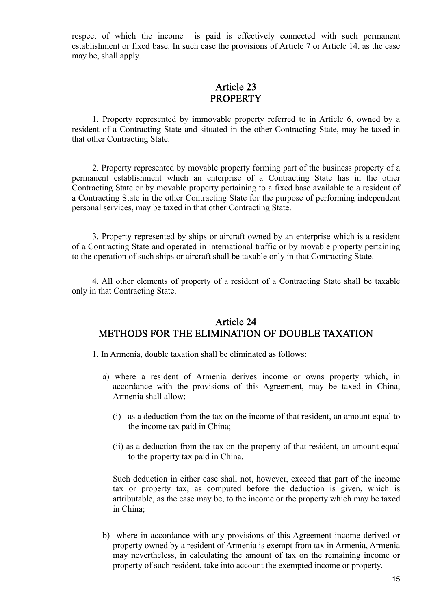respect of which the income is paid is effectively connected with such permanent establishment or fixed base. In such case the provisions of Article 7 or Article 14, as the case may be, shall apply.

# Article 23 PROPERTY

1. Property represented by immovable property referred to in Article 6, owned by a resident of a Contracting State and situated in the other Contracting State, may be taxed in that other Contracting State.

2. Property represented by movable property forming part of the business property of a permanent establishment which an enterprise of a Contracting State has in the other Contracting State or by movable property pertaining to a fixed base available to a resident of a Contracting State in the other Contracting State for the purpose of performing independent personal services, may be taxed in that other Contracting State.

3. Property represented by ships or aircraft owned by an enterprise which is a resident of a Contracting State and operated in international traffic or by movable property pertaining to the operation of such ships or aircraft shall be taxable only in that Contracting State.

4. All other elements of property of a resident of a Contracting State shall be taxable only in that Contracting State.

# Article 24 METHODS FOR THE ELIMINATION OF DOUBLE TAXATION

1. In Armenia, double taxation shall be eliminated as follows:

- a) where a resident of Armenia derives income or owns property which, in accordance with the provisions of this Agreement, may be taxed in China, Armenia shall allow:
	- (i) as a deduction from the tax on the income of that resident, an amount equal to the income tax paid in China;
	- (ii) as a deduction from the tax on the property of that resident, an amount equal to the property tax paid in China.

Such deduction in either case shall not, however, exceed that part of the income tax or property tax, as computed before the deduction is given, which is attributable, as the case may be, to the income or the property which may be taxed in China;

b) where in accordance with any provisions of this Agreement income derived or property owned by a resident of Armenia is exempt from tax in Armenia, Armenia may nevertheless, in calculating the amount of tax on the remaining income or property of such resident, take into account the exempted income or property.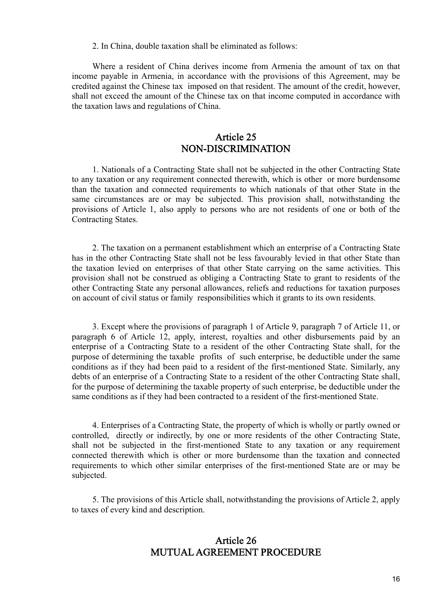2. In China, double taxation shall be eliminated as follows:

Where a resident of China derives income from Armenia the amount of tax on that income payable in Armenia, in accordance with the provisions of this Agreement, may be credited against the Chinese tax imposed on that resident. The amount of the credit, however, shall not exceed the amount of the Chinese tax on that income computed in accordance with the taxation laws and regulations of China.

#### Article 25 NON-DISCRIMINATION

1. Nationals of a Contracting State shall not be subjected in the other Contracting State to any taxation or any requirement connected therewith, which is other or more burdensome than the taxation and connected requirements to which nationals of that other State in the same circumstances are or may be subjected. This provision shall, notwithstanding the provisions of Article 1, also apply to persons who are not residents of one or both of the Contracting States.

2. The taxation on a permanent establishment which an enterprise of a Contracting State has in the other Contracting State shall not be less favourably levied in that other State than the taxation levied on enterprises of that other State carrying on the same activities. This provision shall not be construed as obliging a Contracting State to grant to residents of the other Contracting State any personal allowances, reliefs and reductions for taxation purposes on account of civil status or family responsibilities which it grants to its own residents.

3. Except where the provisions of paragraph 1 of Article 9, paragraph 7 of Article 11, or paragraph 6 of Article 12, apply, interest, royalties and other disbursements paid by an enterprise of a Contracting State to a resident of the other Contracting State shall, for the purpose of determining the taxable profits of such enterprise, be deductible under the same conditions as if they had been paid to a resident of the first-mentioned State. Similarly, any debts of an enterprise of a Contracting State to a resident of the other Contracting State shall, for the purpose of determining the taxable property of such enterprise, be deductible under the same conditions as if they had been contracted to a resident of the first-mentioned State.

4. Enterprises of a Contracting State, the property of which is wholly or partly owned or controlled, directly or indirectly, by one or more residents of the other Contracting State, shall not be subjected in the first-mentioned State to any taxation or any requirement connected therewith which is other or more burdensome than the taxation and connected requirements to which other similar enterprises of the first-mentioned State are or may be subjected.

5. The provisions of this Article shall, notwithstanding the provisions of Article 2, apply to taxes of every kind and description.

#### Article 26 MUTUAL AGREEMENT PROCEDURE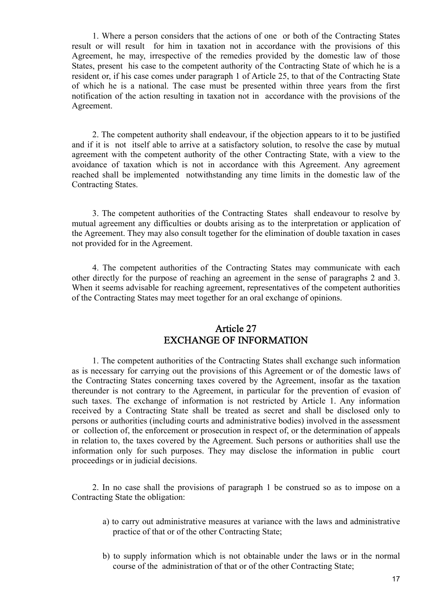1. Where a person considers that the actions of one or both of the Contracting States result or will result for him in taxation not in accordance with the provisions of this Agreement, he may, irrespective of the remedies provided by the domestic law of those States, present his case to the competent authority of the Contracting State of which he is a resident or, if his case comes under paragraph 1 of Article 25, to that of the Contracting State of which he is a national. The case must be presented within three years from the first notification of the action resulting in taxation not in accordance with the provisions of the Agreement.

2. The competent authority shall endeavour, if the objection appears to it to be justified and if it is not itself able to arrive at a satisfactory solution, to resolve the case by mutual agreement with the competent authority of the other Contracting State, with a view to the avoidance of taxation which is not in accordance with this Agreement. Any agreement reached shall be implemented notwithstanding any time limits in the domestic law of the Contracting States.

3. The competent authorities of the Contracting States shall endeavour to resolve by mutual agreement any difficulties or doubts arising as to the interpretation or application of the Agreement. They may also consult together for the elimination of double taxation in cases not provided for in the Agreement.

4. The competent authorities of the Contracting States may communicate with each other directly for the purpose of reaching an agreement in the sense of paragraphs 2 and 3. When it seems advisable for reaching agreement, representatives of the competent authorities of the Contracting States may meet together for an oral exchange of opinions.

# Article 27 EXCHANGE OF INFORMATION

1. The competent authorities of the Contracting States shall exchange such information as is necessary for carrying out the provisions of this Agreement or of the domestic laws of the Contracting States concerning taxes covered by the Agreement, insofar as the taxation thereunder is not contrary to the Agreement, in particular for the prevention of evasion of such taxes. The exchange of information is not restricted by Article 1. Any information received by a Contracting State shall be treated as secret and shall be disclosed only to persons or authorities (including courts and administrative bodies) involved in the assessment or collection of, the enforcement or prosecution in respect of, or the determination of appeals in relation to, the taxes covered by the Agreement. Such persons or authorities shall use the information only for such purposes. They may disclose the information in public court proceedings or in judicial decisions.

2. In no case shall the provisions of paragraph 1 be construed so as to impose on a Contracting State the obligation:

- a) to carry out administrative measures at variance with the laws and administrative practice of that or of the other Contracting State;
- b) to supply information which is not obtainable under the laws or in the normal course of the administration of that or of the other Contracting State;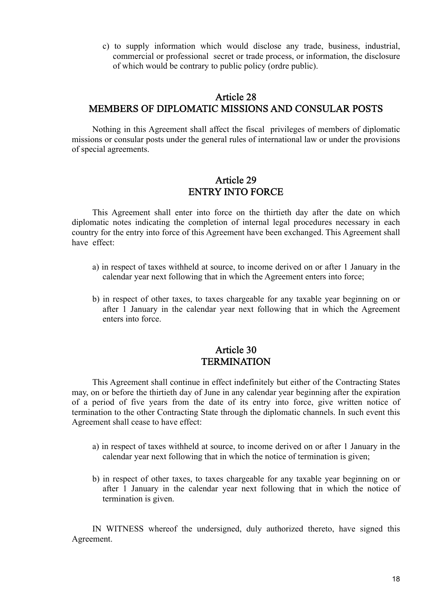c) to supply information which would disclose any trade, business, industrial, commercial or professional secret or trade process, or information, the disclosure of which would be contrary to public policy (ordre public).

#### Article 28 MEMBERS OF DIPLOMATIC MISSIONS AND CONSULAR POSTS

Nothing in this Agreement shall affect the fiscal privileges of members of diplomatic missions or consular posts under the general rules of international law or under the provisions of special agreements.

# Article 29 ENTRY INTO FORCE

This Agreement shall enter into force on the thirtieth day after the date on which diplomatic notes indicating the completion of internal legal procedures necessary in each country for the entry into force of this Agreement have been exchanged. This Agreement shall have effect:

- a) in respect of taxes withheld at source, to income derived on or after 1 January in the calendar year next following that in which the Agreement enters into force;
- b) in respect of other taxes, to taxes chargeable for any taxable year beginning on or after 1 January in the calendar year next following that in which the Agreement enters into force.

# Article 30 **TERMINATION**

This Agreement shall continue in effect indefinitely but either of the Contracting States may, on or before the thirtieth day of June in any calendar year beginning after the expiration of a period of five years from the date of its entry into force, give written notice of termination to the other Contracting State through the diplomatic channels. In such event this Agreement shall cease to have effect:

- a) in respect of taxes withheld at source, to income derived on or after 1 January in the calendar year next following that in which the notice of termination is given;
- b) in respect of other taxes, to taxes chargeable for any taxable year beginning on or after 1 January in the calendar year next following that in which the notice of termination is given.

IN WITNESS whereof the undersigned, duly authorized thereto, have signed this Agreement.